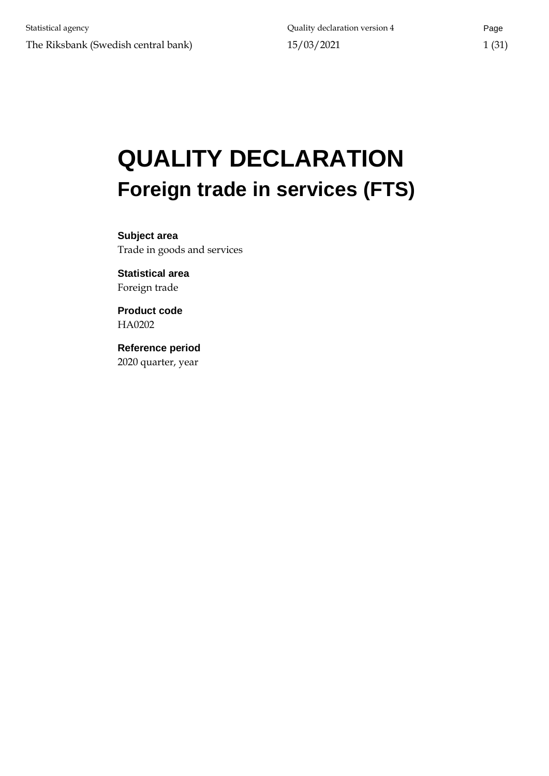# **QUALITY DECLARATION Foreign trade in services (FTS)**

**Subject area** Trade in goods and services

**Statistical area** Foreign trade

**Product code** HA0202

**Reference period** 2020 quarter, year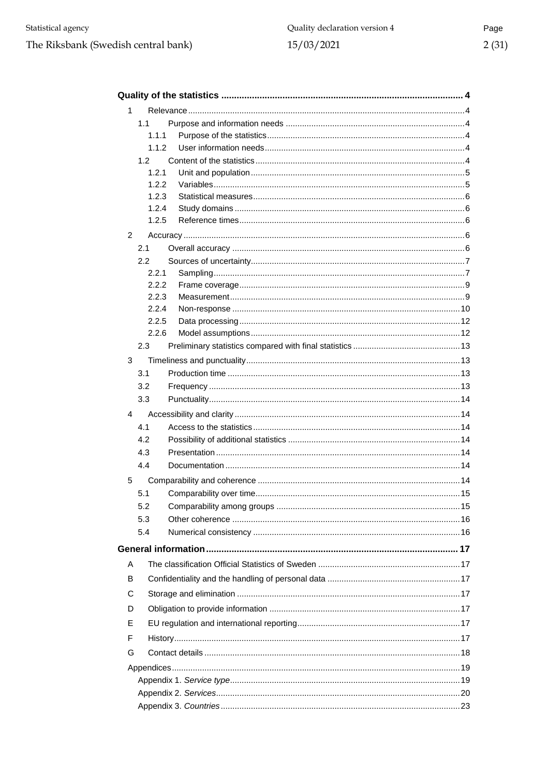| 1 |       |  |
|---|-------|--|
|   | 1.1   |  |
|   | 1.1.1 |  |
|   | 1.1.2 |  |
|   | 1.2   |  |
|   | 1.2.1 |  |
|   | 1.2.2 |  |
|   | 1.2.3 |  |
|   | 1.2.4 |  |
|   | 1.2.5 |  |
| 2 |       |  |
|   | 2.1   |  |
|   | 2.2   |  |
|   | 2.2.1 |  |
|   | 2.2.2 |  |
|   | 2.2.3 |  |
|   | 2.2.4 |  |
|   | 2.2.5 |  |
|   | 2.2.6 |  |
|   | 2.3   |  |
| 3 |       |  |
|   | 3.1   |  |
|   | 3.2   |  |
|   | 3.3   |  |
| 4 |       |  |
|   | 4.1   |  |
|   | 4.2   |  |
|   | 4.3   |  |
|   | 4.4   |  |
| 5 |       |  |
|   | 5.1   |  |
|   | 5.2   |  |
|   | 5.3   |  |
|   |       |  |
|   | 5.4   |  |
|   |       |  |
| Α |       |  |
| В |       |  |
| C |       |  |
| D |       |  |
| Е |       |  |
| F |       |  |
| G |       |  |
|   |       |  |
|   |       |  |
|   |       |  |
|   |       |  |
|   |       |  |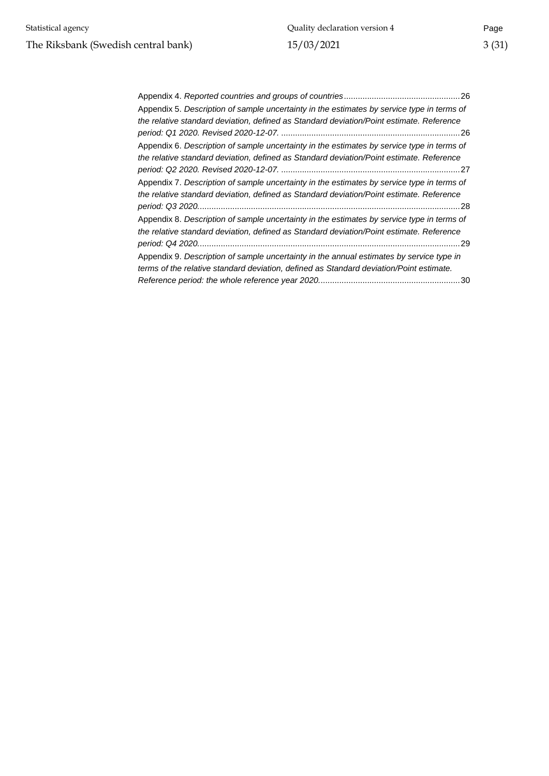| Appendix 5. Description of sample uncertainty in the estimates by service type in terms of |
|--------------------------------------------------------------------------------------------|
| the relative standard deviation, defined as Standard deviation/Point estimate. Reference   |
|                                                                                            |
| Appendix 6. Description of sample uncertainty in the estimates by service type in terms of |
| the relative standard deviation, defined as Standard deviation/Point estimate. Reference   |
|                                                                                            |
| Appendix 7. Description of sample uncertainty in the estimates by service type in terms of |
| the relative standard deviation, defined as Standard deviation/Point estimate. Reference   |
|                                                                                            |
| Appendix 8. Description of sample uncertainty in the estimates by service type in terms of |
| the relative standard deviation, defined as Standard deviation/Point estimate. Reference   |
| . 29                                                                                       |
| Appendix 9. Description of sample uncertainty in the annual estimates by service type in   |
| terms of the relative standard deviation, defined as Standard deviation/Point estimate.    |
|                                                                                            |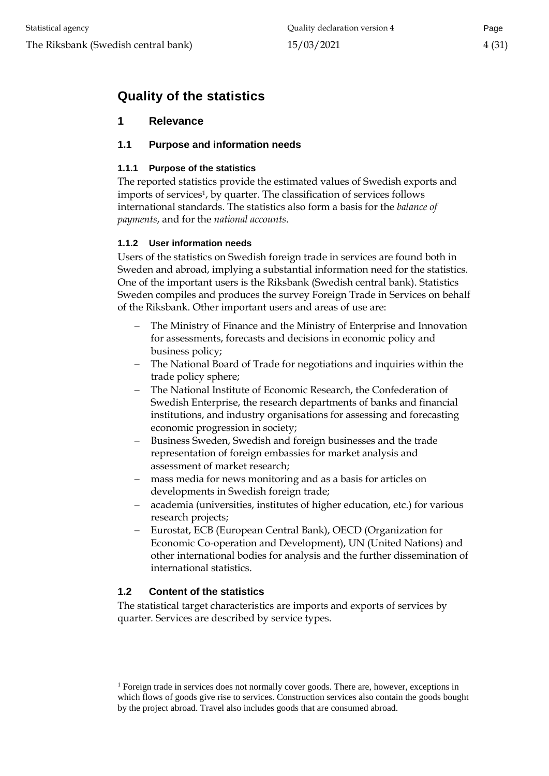# <span id="page-3-0"></span>**Quality of the statistics**

# <span id="page-3-1"></span>**1 Relevance**

# <span id="page-3-2"></span>**1.1 Purpose and information needs**

# <span id="page-3-3"></span>**1.1.1 Purpose of the statistics**

The reported statistics provide the estimated values of Swedish exports and imports of services<sup>1</sup>, by quarter. The classification of services follows international standards. The statistics also form a basis for the *balance of payments*, and for the *national accounts*.

# <span id="page-3-4"></span>**1.1.2 User information needs**

Users of the statistics on Swedish foreign trade in services are found both in Sweden and abroad, implying a substantial information need for the statistics. One of the important users is the Riksbank (Swedish central bank). Statistics Sweden compiles and produces the survey Foreign Trade in Services on behalf of the Riksbank. Other important users and areas of use are:

- The Ministry of Finance and the Ministry of Enterprise and Innovation for assessments, forecasts and decisions in economic policy and business policy;
- The National Board of Trade for negotiations and inquiries within the trade policy sphere;
- The National Institute of Economic Research, the Confederation of Swedish Enterprise, the research departments of banks and financial institutions, and industry organisations for assessing and forecasting economic progression in society;
- Business Sweden, Swedish and foreign businesses and the trade representation of foreign embassies for market analysis and assessment of market research;
- mass media for news monitoring and as a basis for articles on developments in Swedish foreign trade;
- academia (universities, institutes of higher education, etc.) for various research projects;
- Eurostat, ECB (European Central Bank), OECD (Organization for Economic Co-operation and Development), UN (United Nations) and other international bodies for analysis and the further dissemination of international statistics.

# <span id="page-3-5"></span>**1.2 Content of the statistics**

The statistical target characteristics are imports and exports of services by quarter. Services are described by service types.

<sup>&</sup>lt;sup>1</sup> Foreign trade in services does not normally cover goods. There are, however, exceptions in which flows of goods give rise to services. Construction services also contain the goods bought by the project abroad. Travel also includes goods that are consumed abroad.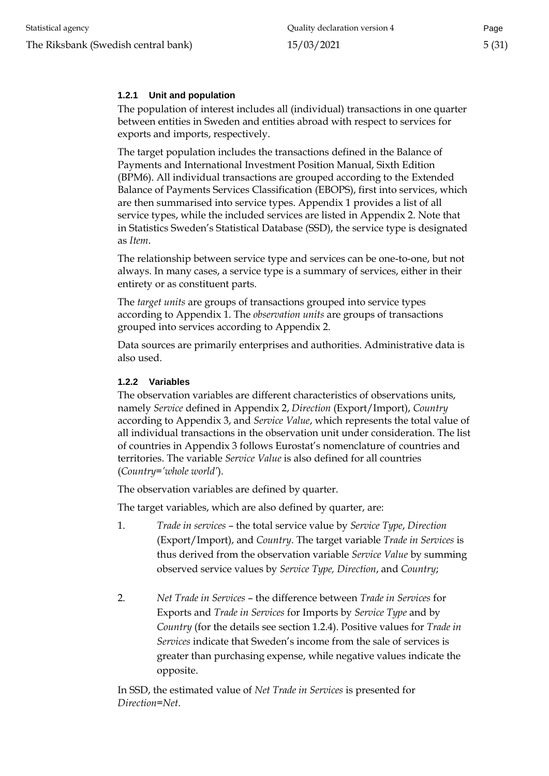# <span id="page-4-0"></span>**1.2.1 Unit and population**

The population of interest includes all (individual) transactions in one quarter between entities in Sweden and entities abroad with respect to services for exports and imports, respectively.

The target population includes the transactions defined in the Balance of Payments and International Investment Position Manual, Sixth Edition (BPM6). All individual transactions are grouped according to the Extended Balance of Payments Services Classification (EBOPS), first into services, which are then summarised into service types. Appendix 1 provides a list of all service types, while the included services are listed in Appendix 2. Note that in Statistics Sweden's Statistical Database (SSD), the service type is designated as *Item*.

The relationship between service type and services can be one-to-one, but not always. In many cases, a service type is a summary of services, either in their entirety or as constituent parts.

The *target units* are groups of transactions grouped into service types according to Appendix 1. The *observation units* are groups of transactions grouped into services according to Appendix 2.

Data sources are primarily enterprises and authorities. Administrative data is also used.

#### <span id="page-4-1"></span>**1.2.2 Variables**

The observation variables are different characteristics of observations units, namely *Service* defined in Appendix 2, *Direction* (Export/Import), *Country* according to Appendix 3, and *Service Value*, which represents the total value of all individual transactions in the observation unit under consideration. The list of countries in Appendix 3 follows Eurostat's nomenclature of countries and territories. The variable *Service Value* is also defined for all countries (*Country='whole world'*).

The observation variables are defined by quarter.

The target variables, which are also defined by quarter, are:

- 1. *Trade in services* the total service value by *Service Type*, *Direction* (Export/Import), and *Country*. The target variable *Trade in Services* is thus derived from the observation variable *Service Value* by summing observed service values by *Service Type, Direction*, and *Country*;
- 2. *Net Trade in Services* the difference between *Trade in Services* for Exports and *Trade in Services* for Imports by *Service Type* and by *Country* (for the details see section 1.2.4). Positive values for *Trade in Services* indicate that Sweden's income from the sale of services is greater than purchasing expense, while negative values indicate the opposite.

In SSD, the estimated value of *Net Trade in Services* is presented for *Direction=Net*.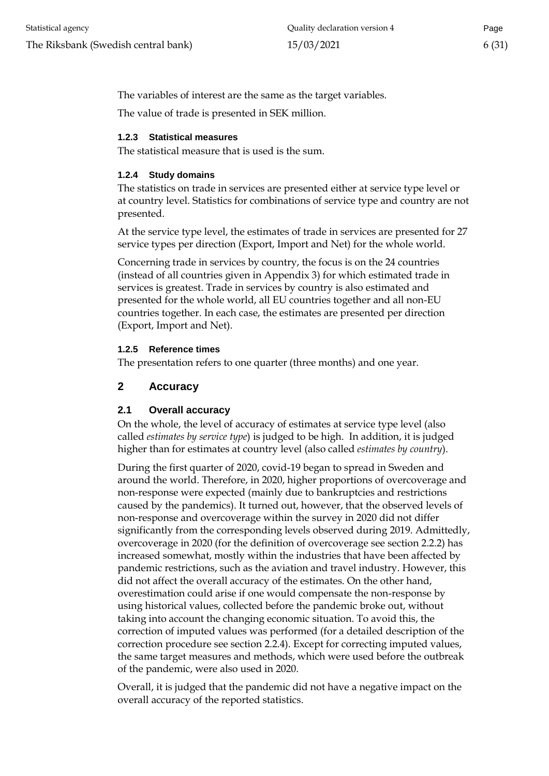The variables of interest are the same as the target variables.

The value of trade is presented in SEK million.

#### <span id="page-5-0"></span>**1.2.3 Statistical measures**

The statistical measure that is used is the sum.

#### <span id="page-5-1"></span>**1.2.4 Study domains**

The statistics on trade in services are presented either at service type level or at country level. Statistics for combinations of service type and country are not presented.

At the service type level, the estimates of trade in services are presented for 27 service types per direction (Export, Import and Net) for the whole world.

Concerning trade in services by country, the focus is on the 24 countries (instead of all countries given in Appendix 3) for which estimated trade in services is greatest. Trade in services by country is also estimated and presented for the whole world, all EU countries together and all non-EU countries together. In each case, the estimates are presented per direction (Export, Import and Net).

#### <span id="page-5-2"></span>**1.2.5 Reference times**

The presentation refers to one quarter (three months) and one year.

# <span id="page-5-3"></span>**2 Accuracy**

# <span id="page-5-4"></span>**2.1 Overall accuracy**

On the whole, the level of accuracy of estimates at service type level (also called *estimates by service type*) is judged to be high. In addition, it is judged higher than for estimates at country level (also called *estimates by country*).

During the first quarter of 2020, covid-19 began to spread in Sweden and around the world. Therefore, in 2020, higher proportions of overcoverage and non-response were expected (mainly due to bankruptcies and restrictions caused by the pandemics). It turned out, however, that the observed levels of non-response and overcoverage within the survey in 2020 did not differ significantly from the corresponding levels observed during 2019. Admittedly, overcoverage in 2020 (for the definition of overcoverage see section 2.2.2) has increased somewhat, mostly within the industries that have been affected by pandemic restrictions, such as the aviation and travel industry. However, this did not affect the overall accuracy of the estimates. On the other hand, overestimation could arise if one would compensate the non-response by using historical values, collected before the pandemic broke out, without taking into account the changing economic situation. To avoid this, the correction of imputed values was performed (for a detailed description of the correction procedure see section 2.2.4). Except for correcting imputed values, the same target measures and methods, which were used before the outbreak of the pandemic, were also used in 2020.

Overall, it is judged that the pandemic did not have a negative impact on the overall accuracy of the reported statistics.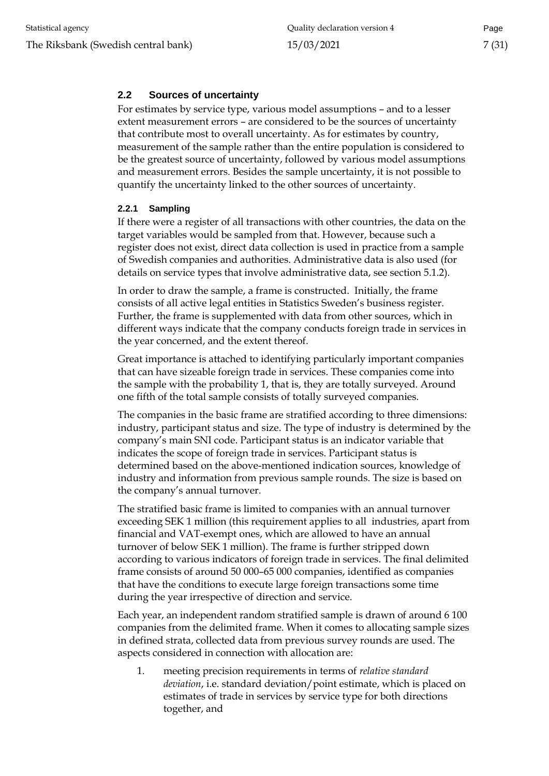# <span id="page-6-0"></span>**2.2 Sources of uncertainty**

For estimates by service type, various model assumptions – and to a lesser extent measurement errors – are considered to be the sources of uncertainty that contribute most to overall uncertainty. As for estimates by country, measurement of the sample rather than the entire population is considered to be the greatest source of uncertainty, followed by various model assumptions and measurement errors. Besides the sample uncertainty, it is not possible to quantify the uncertainty linked to the other sources of uncertainty.

#### <span id="page-6-1"></span>**2.2.1 Sampling**

If there were a register of all transactions with other countries, the data on the target variables would be sampled from that. However, because such a register does not exist, direct data collection is used in practice from a sample of Swedish companies and authorities. Administrative data is also used (for details on service types that involve administrative data, see section 5.1.2).

In order to draw the sample, a frame is constructed. Initially, the frame consists of all active legal entities in Statistics Sweden's business register. Further, the frame is supplemented with data from other sources, which in different ways indicate that the company conducts foreign trade in services in the year concerned, and the extent thereof.

Great importance is attached to identifying particularly important companies that can have sizeable foreign trade in services. These companies come into the sample with the probability 1, that is, they are totally surveyed. Around one fifth of the total sample consists of totally surveyed companies.

The companies in the basic frame are stratified according to three dimensions: industry, participant status and size. The type of industry is determined by the company's main SNI code. Participant status is an indicator variable that indicates the scope of foreign trade in services. Participant status is determined based on the above-mentioned indication sources, knowledge of industry and information from previous sample rounds. The size is based on the company's annual turnover.

The stratified basic frame is limited to companies with an annual turnover exceeding SEK 1 million (this requirement applies to all industries, apart from financial and VAT-exempt ones, which are allowed to have an annual turnover of below SEK 1 million). The frame is further stripped down according to various indicators of foreign trade in services. The final delimited frame consists of around 50 000–65 000 companies, identified as companies that have the conditions to execute large foreign transactions some time during the year irrespective of direction and service.

Each year, an independent random stratified sample is drawn of around 6 100 companies from the delimited frame. When it comes to allocating sample sizes in defined strata, collected data from previous survey rounds are used. The aspects considered in connection with allocation are:

1. meeting precision requirements in terms of *relative standard deviation*, i.e. standard deviation/point estimate, which is placed on estimates of trade in services by service type for both directions together, and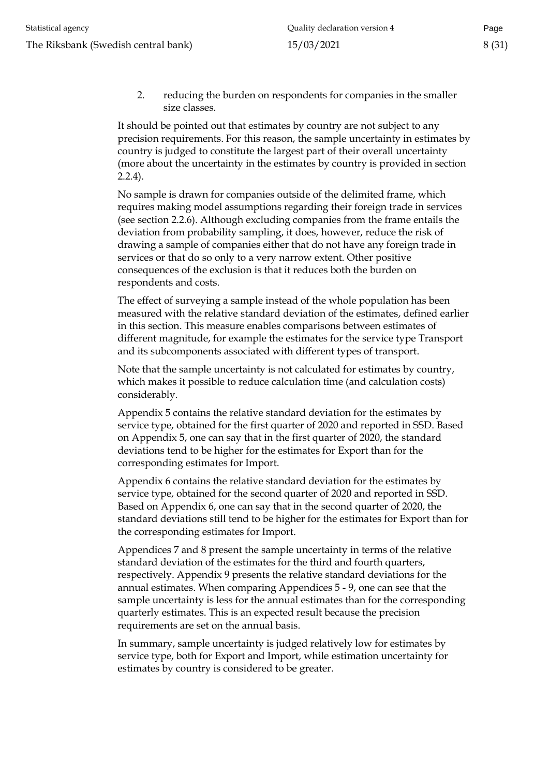2. reducing the burden on respondents for companies in the smaller size classes.

It should be pointed out that estimates by country are not subject to any precision requirements. For this reason, the sample uncertainty in estimates by country is judged to constitute the largest part of their overall uncertainty (more about the uncertainty in the estimates by country is provided in section 2.2.4).

No sample is drawn for companies outside of the delimited frame, which requires making model assumptions regarding their foreign trade in services (see section 2.2.6). Although excluding companies from the frame entails the deviation from probability sampling, it does, however, reduce the risk of drawing a sample of companies either that do not have any foreign trade in services or that do so only to a very narrow extent. Other positive consequences of the exclusion is that it reduces both the burden on respondents and costs.

The effect of surveying a sample instead of the whole population has been measured with the relative standard deviation of the estimates, defined earlier in this section. This measure enables comparisons between estimates of different magnitude, for example the estimates for the service type Transport and its subcomponents associated with different types of transport.

Note that the sample uncertainty is not calculated for estimates by country, which makes it possible to reduce calculation time (and calculation costs) considerably.

Appendix 5 contains the relative standard deviation for the estimates by service type, obtained for the first quarter of 2020 and reported in SSD. Based on Appendix 5, one can say that in the first quarter of 2020, the standard deviations tend to be higher for the estimates for Export than for the corresponding estimates for Import.

Appendix 6 contains the relative standard deviation for the estimates by service type, obtained for the second quarter of 2020 and reported in SSD. Based on Appendix 6, one can say that in the second quarter of 2020, the standard deviations still tend to be higher for the estimates for Export than for the corresponding estimates for Import.

Appendices 7 and 8 present the sample uncertainty in terms of the relative standard deviation of the estimates for the third and fourth quarters, respectively. Appendix 9 presents the relative standard deviations for the annual estimates. When comparing Appendices 5 - 9, one can see that the sample uncertainty is less for the annual estimates than for the corresponding quarterly estimates. This is an expected result because the precision requirements are set on the annual basis.

In summary, sample uncertainty is judged relatively low for estimates by service type, both for Export and Import, while estimation uncertainty for estimates by country is considered to be greater.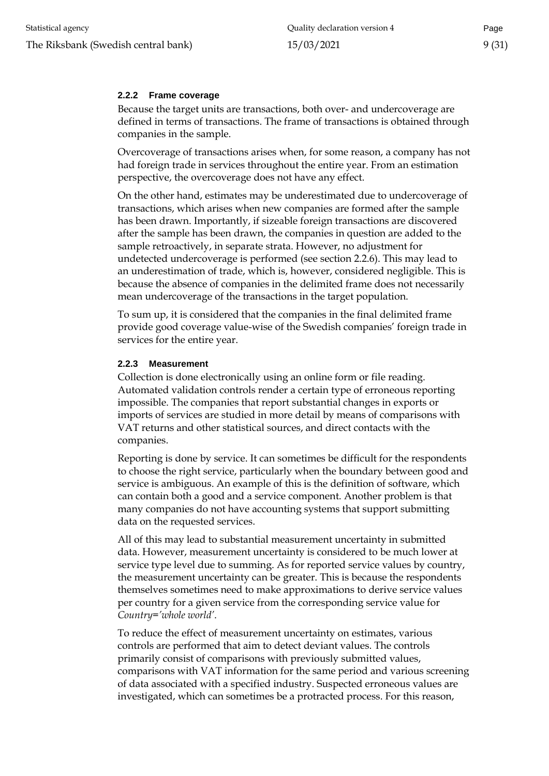#### <span id="page-8-0"></span>**2.2.2 Frame coverage**

Because the target units are transactions, both over- and undercoverage are defined in terms of transactions. The frame of transactions is obtained through companies in the sample.

Overcoverage of transactions arises when, for some reason, a company has not had foreign trade in services throughout the entire year. From an estimation perspective, the overcoverage does not have any effect.

On the other hand, estimates may be underestimated due to undercoverage of transactions, which arises when new companies are formed after the sample has been drawn. Importantly, if sizeable foreign transactions are discovered after the sample has been drawn, the companies in question are added to the sample retroactively, in separate strata. However, no adjustment for undetected undercoverage is performed (see section 2.2.6). This may lead to an underestimation of trade, which is, however, considered negligible. This is because the absence of companies in the delimited frame does not necessarily mean undercoverage of the transactions in the target population.

To sum up, it is considered that the companies in the final delimited frame provide good coverage value-wise of the Swedish companies' foreign trade in services for the entire year.

#### <span id="page-8-1"></span>**2.2.3 Measurement**

Collection is done electronically using an online form or file reading. Automated validation controls render a certain type of erroneous reporting impossible. The companies that report substantial changes in exports or imports of services are studied in more detail by means of comparisons with VAT returns and other statistical sources, and direct contacts with the companies.

Reporting is done by service. It can sometimes be difficult for the respondents to choose the right service, particularly when the boundary between good and service is ambiguous. An example of this is the definition of software, which can contain both a good and a service component. Another problem is that many companies do not have accounting systems that support submitting data on the requested services.

All of this may lead to substantial measurement uncertainty in submitted data. However, measurement uncertainty is considered to be much lower at service type level due to summing. As for reported service values by country, the measurement uncertainty can be greater. This is because the respondents themselves sometimes need to make approximations to derive service values per country for a given service from the corresponding service value for *Country='whole world'*.

To reduce the effect of measurement uncertainty on estimates, various controls are performed that aim to detect deviant values. The controls primarily consist of comparisons with previously submitted values, comparisons with VAT information for the same period and various screening of data associated with a specified industry. Suspected erroneous values are investigated, which can sometimes be a protracted process. For this reason,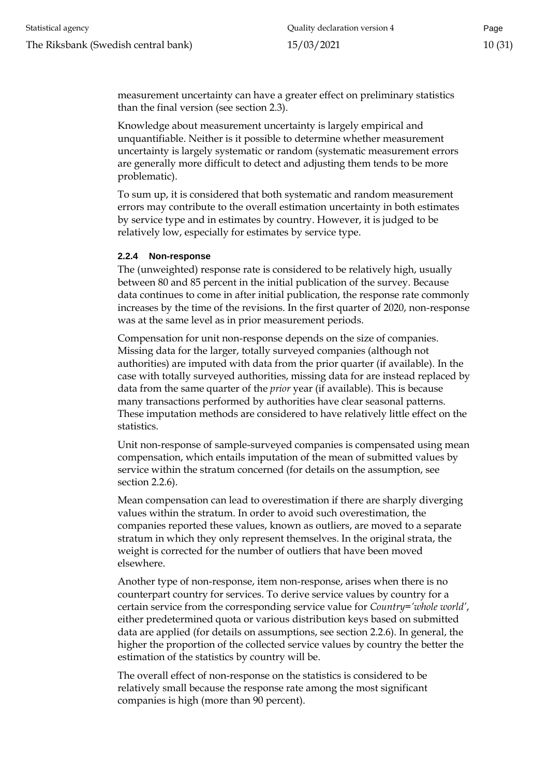measurement uncertainty can have a greater effect on preliminary statistics than the final version (see section 2.3).

Knowledge about measurement uncertainty is largely empirical and unquantifiable. Neither is it possible to determine whether measurement uncertainty is largely systematic or random (systematic measurement errors are generally more difficult to detect and adjusting them tends to be more problematic).

To sum up, it is considered that both systematic and random measurement errors may contribute to the overall estimation uncertainty in both estimates by service type and in estimates by country. However, it is judged to be relatively low, especially for estimates by service type.

#### <span id="page-9-0"></span>**2.2.4 Non-response**

The (unweighted) response rate is considered to be relatively high, usually between 80 and 85 percent in the initial publication of the survey. Because data continues to come in after initial publication, the response rate commonly increases by the time of the revisions. In the first quarter of 2020, non-response was at the same level as in prior measurement periods.

Compensation for unit non-response depends on the size of companies. Missing data for the larger, totally surveyed companies (although not authorities) are imputed with data from the prior quarter (if available). In the case with totally surveyed authorities, missing data for are instead replaced by data from the same quarter of the *prior* year (if available). This is because many transactions performed by authorities have clear seasonal patterns. These imputation methods are considered to have relatively little effect on the statistics.

Unit non-response of sample-surveyed companies is compensated using mean compensation, which entails imputation of the mean of submitted values by service within the stratum concerned (for details on the assumption, see section 2.2.6).

Mean compensation can lead to overestimation if there are sharply diverging values within the stratum. In order to avoid such overestimation, the companies reported these values, known as outliers, are moved to a separate stratum in which they only represent themselves. In the original strata, the weight is corrected for the number of outliers that have been moved elsewhere.

Another type of non-response, item non-response, arises when there is no counterpart country for services. To derive service values by country for a certain service from the corresponding service value for *Country='whole world'*, either predetermined quota or various distribution keys based on submitted data are applied (for details on assumptions, see section 2.2.6). In general, the higher the proportion of the collected service values by country the better the estimation of the statistics by country will be.

The overall effect of non-response on the statistics is considered to be relatively small because the response rate among the most significant companies is high (more than 90 percent).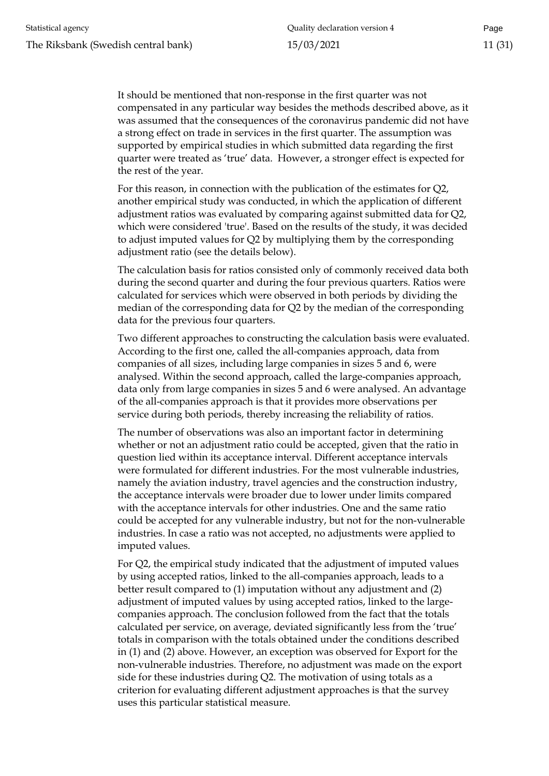It should be mentioned that non-response in the first quarter was not compensated in any particular way besides the methods described above, as it was assumed that the consequences of the coronavirus pandemic did not have a strong effect on trade in services in the first quarter. The assumption was supported by empirical studies in which submitted data regarding the first quarter were treated as 'true' data. However, a stronger effect is expected for the rest of the year.

For this reason, in connection with the publication of the estimates for Q2, another empirical study was conducted, in which the application of different adjustment ratios was evaluated by comparing against submitted data for Q2, which were considered 'true'. Based on the results of the study, it was decided to adjust imputed values for Q2 by multiplying them by the corresponding adjustment ratio (see the details below).

The calculation basis for ratios consisted only of commonly received data both during the second quarter and during the four previous quarters. Ratios were calculated for services which were observed in both periods by dividing the median of the corresponding data for Q2 by the median of the corresponding data for the previous four quarters.

Two different approaches to constructing the calculation basis were evaluated. According to the first one, called the all-companies approach, data from companies of all sizes, including large companies in sizes 5 and 6, were analysed. Within the second approach, called the large-companies approach, data only from large companies in sizes 5 and 6 were analysed. An advantage of the all-companies approach is that it provides more observations per service during both periods, thereby increasing the reliability of ratios.

The number of observations was also an important factor in determining whether or not an adjustment ratio could be accepted, given that the ratio in question lied within its acceptance interval. Different acceptance intervals were formulated for different industries. For the most vulnerable industries, namely the aviation industry, travel agencies and the construction industry, the acceptance intervals were broader due to lower under limits compared with the acceptance intervals for other industries. One and the same ratio could be accepted for any vulnerable industry, but not for the non-vulnerable industries. In case a ratio was not accepted, no adjustments were applied to imputed values.

For Q2, the empirical study indicated that the adjustment of imputed values by using accepted ratios, linked to the all-companies approach, leads to a better result compared to (1) imputation without any adjustment and (2) adjustment of imputed values by using accepted ratios, linked to the largecompanies approach. The conclusion followed from the fact that the totals calculated per service, on average, deviated significantly less from the 'true' totals in comparison with the totals obtained under the conditions described in (1) and (2) above. However, an exception was observed for Export for the non-vulnerable industries. Therefore, no adjustment was made on the export side for these industries during Q2. The motivation of using totals as a criterion for evaluating different adjustment approaches is that the survey uses this particular statistical measure.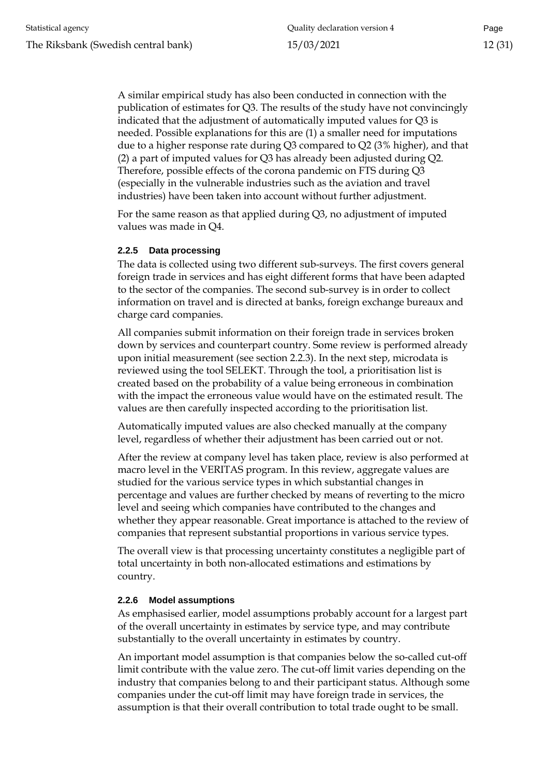A similar empirical study has also been conducted in connection with the publication of estimates for Q3. The results of the study have not convincingly indicated that the adjustment of automatically imputed values for Q3 is needed. Possible explanations for this are (1) a smaller need for imputations due to a higher response rate during Q3 compared to Q2 (3% higher), and that (2) a part of imputed values for Q3 has already been adjusted during Q2. Therefore, possible effects of the corona pandemic on FTS during Q3 (especially in the vulnerable industries such as the aviation and travel industries) have been taken into account without further adjustment.

For the same reason as that applied during Q3, no adjustment of imputed values was made in Q4.

#### <span id="page-11-0"></span>**2.2.5 Data processing**

The data is collected using two different sub-surveys. The first covers general foreign trade in services and has eight different forms that have been adapted to the sector of the companies. The second sub-survey is in order to collect information on travel and is directed at banks, foreign exchange bureaux and charge card companies.

All companies submit information on their foreign trade in services broken down by services and counterpart country. Some review is performed already upon initial measurement (see section 2.2.3). In the next step, microdata is reviewed using the tool SELEKT. Through the tool, a prioritisation list is created based on the probability of a value being erroneous in combination with the impact the erroneous value would have on the estimated result. The values are then carefully inspected according to the prioritisation list.

Automatically imputed values are also checked manually at the company level, regardless of whether their adjustment has been carried out or not.

After the review at company level has taken place, review is also performed at macro level in the VERITAS program. In this review, aggregate values are studied for the various service types in which substantial changes in percentage and values are further checked by means of reverting to the micro level and seeing which companies have contributed to the changes and whether they appear reasonable. Great importance is attached to the review of companies that represent substantial proportions in various service types.

The overall view is that processing uncertainty constitutes a negligible part of total uncertainty in both non-allocated estimations and estimations by country.

#### <span id="page-11-1"></span>**2.2.6 Model assumptions**

As emphasised earlier, model assumptions probably account for a largest part of the overall uncertainty in estimates by service type, and may contribute substantially to the overall uncertainty in estimates by country.

An important model assumption is that companies below the so-called cut-off limit contribute with the value zero. The cut-off limit varies depending on the industry that companies belong to and their participant status. Although some companies under the cut-off limit may have foreign trade in services, the assumption is that their overall contribution to total trade ought to be small.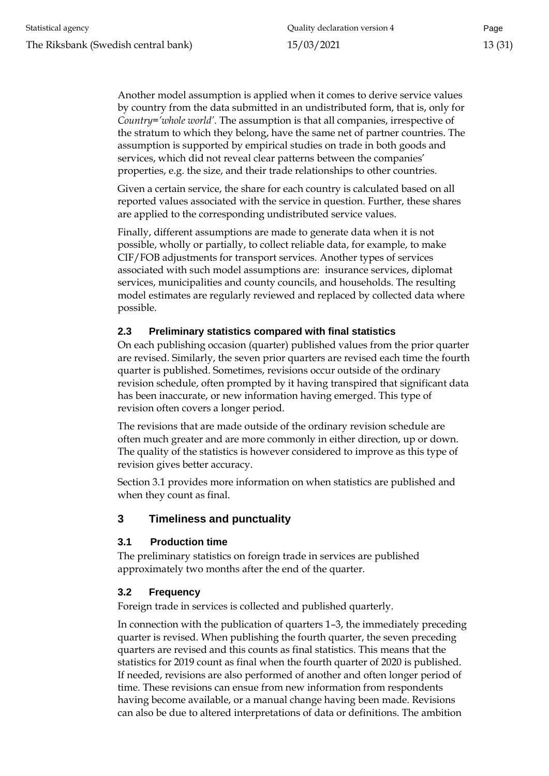Another model assumption is applied when it comes to derive service values by country from the data submitted in an undistributed form, that is, only for *Country='whole world'*. The assumption is that all companies, irrespective of the stratum to which they belong, have the same net of partner countries. The assumption is supported by empirical studies on trade in both goods and services, which did not reveal clear patterns between the companies' properties, e.g. the size, and their trade relationships to other countries.

Given a certain service, the share for each country is calculated based on all reported values associated with the service in question. Further, these shares are applied to the corresponding undistributed service values.

Finally, different assumptions are made to generate data when it is not possible, wholly or partially, to collect reliable data, for example, to make CIF/FOB adjustments for transport services. Another types of services associated with such model assumptions are: insurance services, diplomat services, municipalities and county councils, and households. The resulting model estimates are regularly reviewed and replaced by collected data where possible.

# <span id="page-12-0"></span>**2.3 Preliminary statistics compared with final statistics**

On each publishing occasion (quarter) published values from the prior quarter are revised. Similarly, the seven prior quarters are revised each time the fourth quarter is published. Sometimes, revisions occur outside of the ordinary revision schedule, often prompted by it having transpired that significant data has been inaccurate, or new information having emerged. This type of revision often covers a longer period.

The revisions that are made outside of the ordinary revision schedule are often much greater and are more commonly in either direction, up or down. The quality of the statistics is however considered to improve as this type of revision gives better accuracy.

Section 3.1 provides more information on when statistics are published and when they count as final.

# <span id="page-12-1"></span>**3 Timeliness and punctuality**

# <span id="page-12-2"></span>**3.1 Production time**

The preliminary statistics on foreign trade in services are published approximately two months after the end of the quarter.

# <span id="page-12-3"></span>**3.2 Frequency**

Foreign trade in services is collected and published quarterly.

In connection with the publication of quarters 1–3, the immediately preceding quarter is revised. When publishing the fourth quarter, the seven preceding quarters are revised and this counts as final statistics. This means that the statistics for 2019 count as final when the fourth quarter of 2020 is published. If needed, revisions are also performed of another and often longer period of time. These revisions can ensue from new information from respondents having become available, or a manual change having been made. Revisions can also be due to altered interpretations of data or definitions. The ambition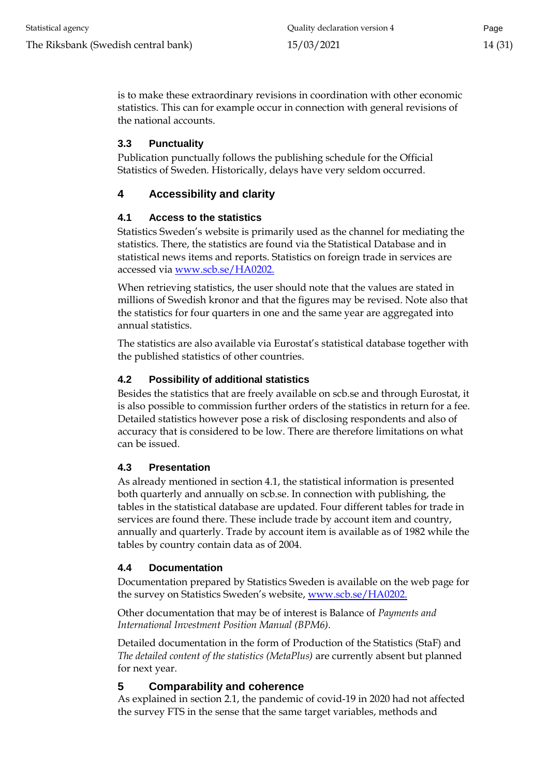is to make these extraordinary revisions in coordination with other economic statistics. This can for example occur in connection with general revisions of the national accounts.

# <span id="page-13-0"></span>**3.3 Punctuality**

Publication punctually follows the publishing schedule for the Official Statistics of Sweden. Historically, delays have very seldom occurred.

# <span id="page-13-1"></span>**4 Accessibility and clarity**

# <span id="page-13-2"></span>**4.1 Access to the statistics**

Statistics Sweden's website is primarily used as the channel for mediating the statistics. There, the statistics are found via the Statistical Database and in statistical news items and reports. Statistics on foreign trade in services are accessed via [www.scb.se/HA0202.](http://www.scb.se/HA0202)

When retrieving statistics, the user should note that the values are stated in millions of Swedish kronor and that the figures may be revised. Note also that the statistics for four quarters in one and the same year are aggregated into annual statistics.

The statistics are also available via Eurostat's statistical database together with the published statistics of other countries.

# <span id="page-13-3"></span>**4.2 Possibility of additional statistics**

Besides the statistics that are freely available on scb.se and through Eurostat, it is also possible to commission further orders of the statistics in return for a fee. Detailed statistics however pose a risk of disclosing respondents and also of accuracy that is considered to be low. There are therefore limitations on what can be issued.

# <span id="page-13-4"></span>**4.3 Presentation**

As already mentioned in section 4.1, the statistical information is presented both quarterly and annually on scb.se. In connection with publishing, the tables in the statistical database are updated. Four different tables for trade in services are found there. These include trade by account item and country, annually and quarterly. Trade by account item is available as of 1982 while the tables by country contain data as of 2004.

# <span id="page-13-5"></span>**4.4 Documentation**

Documentation prepared by Statistics Sweden is available on the web page for the survey on Statistics Sweden's website, [www.scb.se/HA0202.](http://www.scb.se/HA0202)

Other documentation that may be of interest is Balance of *Payments and International Investment Position Manual (BPM6).*

Detailed documentation in the form of Production of the Statistics (StaF) and *The detailed content of the statistics (MetaPlus)* are currently absent but planned for next year.

# <span id="page-13-6"></span>**5 Comparability and coherence**

As explained in section 2.1, the pandemic of covid-19 in 2020 had not affected the survey FTS in the sense that the same target variables, methods and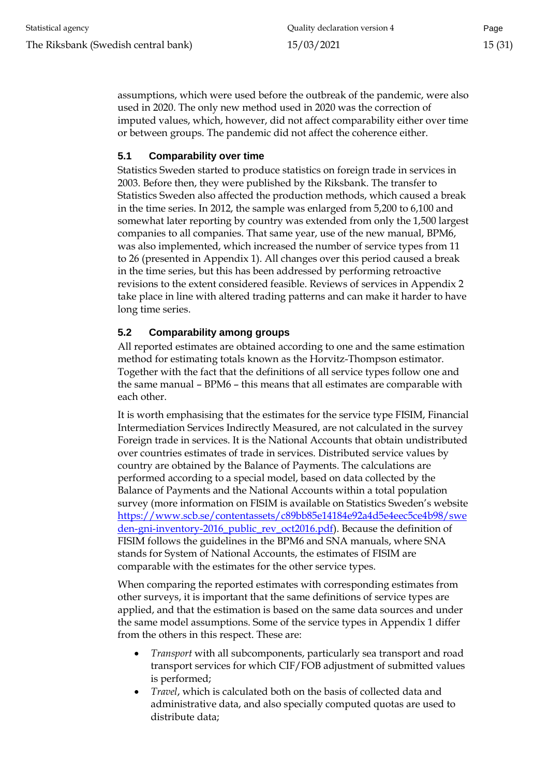assumptions, which were used before the outbreak of the pandemic, were also used in 2020. The only new method used in 2020 was the correction of imputed values, which, however, did not affect comparability either over time or between groups. The pandemic did not affect the coherence either.

# <span id="page-14-0"></span>**5.1 Comparability over time**

Statistics Sweden started to produce statistics on foreign trade in services in 2003. Before then, they were published by the Riksbank. The transfer to Statistics Sweden also affected the production methods, which caused a break in the time series. In 2012, the sample was enlarged from 5,200 to 6,100 and somewhat later reporting by country was extended from only the 1,500 largest companies to all companies. That same year, use of the new manual, BPM6, was also implemented, which increased the number of service types from 11 to 26 (presented in Appendix 1). All changes over this period caused a break in the time series, but this has been addressed by performing retroactive revisions to the extent considered feasible. Reviews of services in Appendix 2 take place in line with altered trading patterns and can make it harder to have long time series.

# <span id="page-14-1"></span>**5.2 Comparability among groups**

All reported estimates are obtained according to one and the same estimation method for estimating totals known as the Horvitz-Thompson estimator. Together with the fact that the definitions of all service types follow one and the same manual – BPM6 – this means that all estimates are comparable with each other.

It is worth emphasising that the estimates for the service type FISIM, Financial Intermediation Services Indirectly Measured, are not calculated in the survey Foreign trade in services. It is the National Accounts that obtain undistributed over countries estimates of trade in services. Distributed service values by country are obtained by the Balance of Payments. The calculations are performed according to a special model, based on data collected by the Balance of Payments and the National Accounts within a total population survey (more information on FISIM is available on Statistics Sweden's website [https://www.scb.se/contentassets/c89bb85e14184e92a4d5e4eec5ce4b98/swe](https://www.scb.se/contentassets/c89bb85e14184e92a4d5e4eec5ce4b98/sweden-gni-inventory-2016_public_rev_oct2016.pdf) [den-gni-inventory-2016\\_public\\_rev\\_oct2016.pdf\)](https://www.scb.se/contentassets/c89bb85e14184e92a4d5e4eec5ce4b98/sweden-gni-inventory-2016_public_rev_oct2016.pdf). Because the definition of FISIM follows the guidelines in the BPM6 and SNA manuals, where SNA stands for System of National Accounts, the estimates of FISIM are comparable with the estimates for the other service types.

When comparing the reported estimates with corresponding estimates from other surveys, it is important that the same definitions of service types are applied, and that the estimation is based on the same data sources and under the same model assumptions. Some of the service types in Appendix 1 differ from the others in this respect. These are:

- *Transport* with all subcomponents, particularly sea transport and road transport services for which CIF/FOB adjustment of submitted values is performed;
- *Travel*, which is calculated both on the basis of collected data and administrative data, and also specially computed quotas are used to distribute data;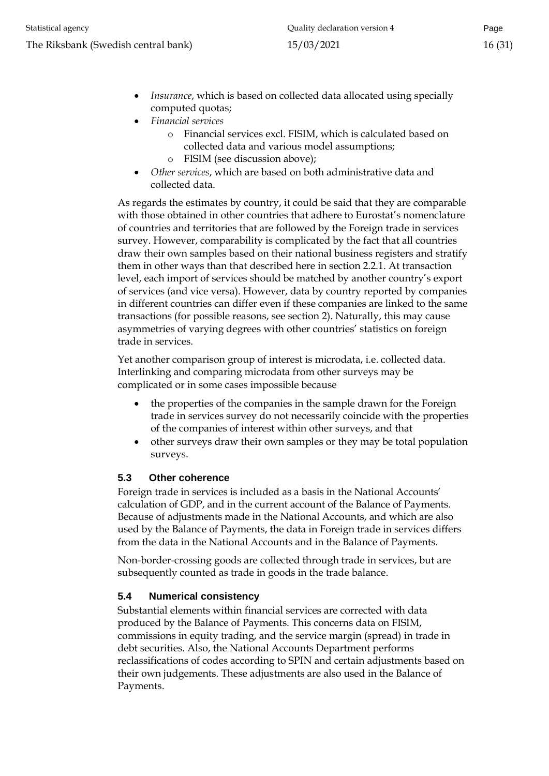- *Insurance*, which is based on collected data allocated using specially computed quotas;
- *Financial services*
	- o Financial services excl. FISIM, which is calculated based on collected data and various model assumptions;
	- o FISIM (see discussion above);
- *Other services*, which are based on both administrative data and collected data.

As regards the estimates by country, it could be said that they are comparable with those obtained in other countries that adhere to Eurostat's nomenclature of countries and territories that are followed by the Foreign trade in services survey. However, comparability is complicated by the fact that all countries draw their own samples based on their national business registers and stratify them in other ways than that described here in section 2.2.1. At transaction level, each import of services should be matched by another country's export of services (and vice versa). However, data by country reported by companies in different countries can differ even if these companies are linked to the same transactions (for possible reasons, see section 2). Naturally, this may cause asymmetries of varying degrees with other countries' statistics on foreign trade in services.

Yet another comparison group of interest is microdata, i.e. collected data. Interlinking and comparing microdata from other surveys may be complicated or in some cases impossible because

- the properties of the companies in the sample drawn for the Foreign trade in services survey do not necessarily coincide with the properties of the companies of interest within other surveys, and that
- other surveys draw their own samples or they may be total population surveys.

# <span id="page-15-0"></span>**5.3 Other coherence**

Foreign trade in services is included as a basis in the National Accounts' calculation of GDP, and in the current account of the Balance of Payments. Because of adjustments made in the National Accounts, and which are also used by the Balance of Payments, the data in Foreign trade in services differs from the data in the National Accounts and in the Balance of Payments.

Non-border-crossing goods are collected through trade in services, but are subsequently counted as trade in goods in the trade balance.

# <span id="page-15-1"></span>**5.4 Numerical consistency**

Substantial elements within financial services are corrected with data produced by the Balance of Payments. This concerns data on FISIM, commissions in equity trading, and the service margin (spread) in trade in debt securities. Also, the National Accounts Department performs reclassifications of codes according to SPIN and certain adjustments based on their own judgements. These adjustments are also used in the Balance of Payments.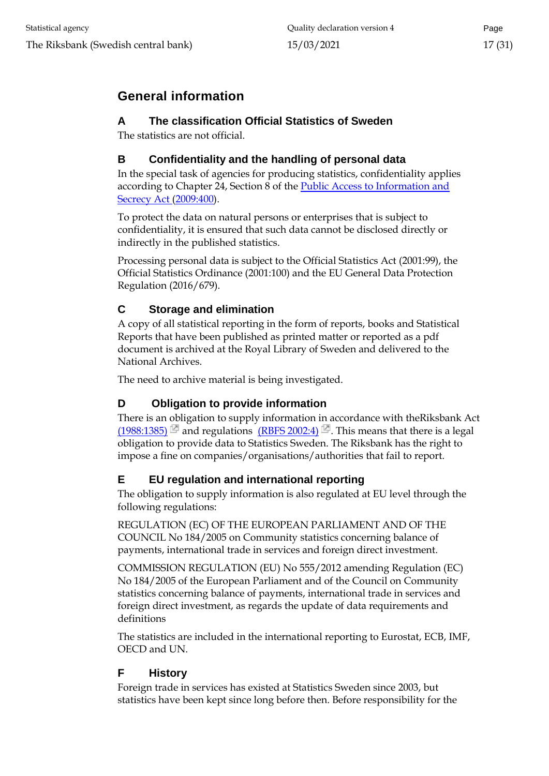# <span id="page-16-0"></span>**General information**

# <span id="page-16-1"></span>**A The classification Official Statistics of Sweden**

The statistics are not official.

# <span id="page-16-2"></span>**B Confidentiality and the handling of personal data**

In the special task of agencies for producing statistics, confidentiality applies according to Chapter 24, Section 8 of the [Public Access to Information and](http://www.riksdagen.se/sv/dokument-lagar/dokument/svensk-forfattningssamling/offentlighets--och-sekretesslag-2009400_sfs-2009-400)  [Secrecy Act \(2009:400\).](http://www.riksdagen.se/sv/dokument-lagar/dokument/svensk-forfattningssamling/offentlighets--och-sekretesslag-2009400_sfs-2009-400)

To protect the data on natural persons or enterprises that is subject to confidentiality, it is ensured that such data cannot be disclosed directly or indirectly in the published statistics.

Processing personal data is subject to the Official Statistics Act (2001:99), the Official Statistics Ordinance (2001:100) and the EU General Data Protection Regulation (2016/679).

# <span id="page-16-3"></span>**C Storage and elimination**

A copy of all statistical reporting in the form of reports, books and Statistical Reports that have been published as printed matter or reported as a pdf document is archived at the Royal Library of Sweden and delivered to the National Archives.

The need to archive material is being investigated.

# <span id="page-16-4"></span>**D Obligation to provide information**

There is an obligation to supply information in accordance with theRiksbank Act [\(1988:1385\)](http://www.riksdagen.se/sv/Dokument-Lagar/Lagar/Svenskforfattningssamling/sfs_sfs-1988-1385/) and regulations [\(RBFS 2002:4\)](http://www.riksbank.se/upload/Dokument_riksbank/Kat_publicerat/RBFS/2002_4.pdf)  $\Box$ . This means that there is a legal obligation to provide data to Statistics Sweden. The Riksbank has the right to impose a fine on companies/organisations/authorities that fail to report.

# <span id="page-16-5"></span>**E EU regulation and international reporting**

The obligation to supply information is also regulated at EU level through the following regulations:

REGULATION (EC) OF THE EUROPEAN PARLIAMENT AND OF THE COUNCIL No 184/2005 on Community statistics concerning balance of payments, international trade in services and foreign direct investment.

COMMISSION REGULATION (EU) No 555/2012 amending Regulation (EC) No 184/2005 of the European Parliament and of the Council on Community statistics concerning balance of payments, international trade in services and foreign direct investment, as regards the update of data requirements and definitions

The statistics are included in the international reporting to Eurostat, ECB, IMF, OECD and UN.

# <span id="page-16-6"></span>**F History**

Foreign trade in services has existed at Statistics Sweden since 2003, but statistics have been kept since long before then. Before responsibility for the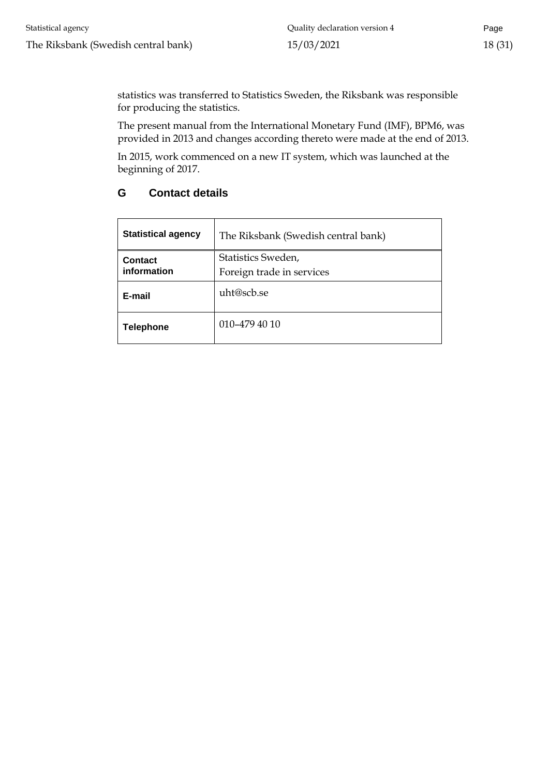statistics was transferred to Statistics Sweden, the Riksbank was responsible for producing the statistics.

The present manual from the International Monetary Fund (IMF), BPM6, was provided in 2013 and changes according thereto were made at the end of 2013.

In 2015, work commenced on a new IT system, which was launched at the beginning of 2017.

# <span id="page-17-0"></span>**G Contact details**

| <b>Statistical agency</b> | The Riksbank (Swedish central bank) |  |
|---------------------------|-------------------------------------|--|
| <b>Contact</b>            | Statistics Sweden,                  |  |
| information               | Foreign trade in services           |  |
| E-mail                    | uht@scb.se                          |  |
| <b>Telephone</b>          | 010-479 40 10                       |  |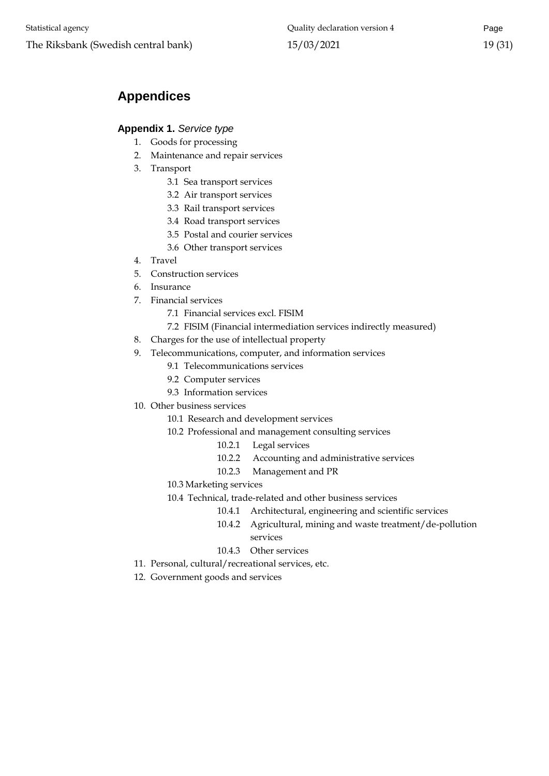# <span id="page-18-0"></span>**Appendices**

# <span id="page-18-1"></span>**Appendix 1.** *Service type*

- 1. Goods for processing
- 2. Maintenance and repair services
- 3. Transport
	- 3.1 Sea transport services
	- 3.2 Air transport services
	- 3.3 Rail transport services
	- 3.4 Road transport services
	- 3.5 Postal and courier services
	- 3.6 Other transport services
- 4. Travel
- 5. Construction services
- 6. Insurance
- 7. Financial services
	- 7.1 Financial services excl. FISIM
	- 7.2 FISIM (Financial intermediation services indirectly measured)
- 8. Charges for the use of intellectual property
- 9. Telecommunications, computer, and information services
	- 9.1 Telecommunications services
	- 9.2 Computer services
	- 9.3 Information services
- 10. Other business services
	- 10.1 Research and development services
	- 10.2 Professional and management consulting services
		- 10.2.1 Legal services
		- 10.2.2 Accounting and administrative services
		- 10.2.3 Management and PR
	- 10.3 Marketing services
	- 10.4 Technical, trade-related and other business services
		- 10.4.1 Architectural, engineering and scientific services
		- 10.4.2 Agricultural, mining and waste treatment/de-pollution services
		- 10.4.3 Other services
- 11. Personal, cultural/recreational services, etc.
- 12. Government goods and services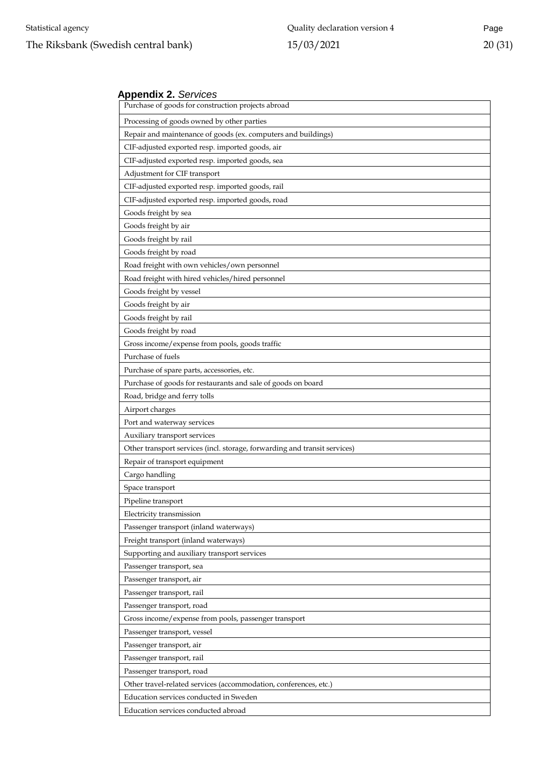#### <span id="page-19-0"></span>**Appendix 2.** *Services*

| Purchase of goods for construction projects abroad                        |  |  |  |
|---------------------------------------------------------------------------|--|--|--|
| Processing of goods owned by other parties                                |  |  |  |
| Repair and maintenance of goods (ex. computers and buildings)             |  |  |  |
| CIF-adjusted exported resp. imported goods, air                           |  |  |  |
| CIF-adjusted exported resp. imported goods, sea                           |  |  |  |
| Adjustment for CIF transport                                              |  |  |  |
| CIF-adjusted exported resp. imported goods, rail                          |  |  |  |
| CIF-adjusted exported resp. imported goods, road                          |  |  |  |
| Goods freight by sea                                                      |  |  |  |
| Goods freight by air                                                      |  |  |  |
| Goods freight by rail                                                     |  |  |  |
| Goods freight by road                                                     |  |  |  |
| Road freight with own vehicles/own personnel                              |  |  |  |
| Road freight with hired vehicles/hired personnel                          |  |  |  |
| Goods freight by vessel                                                   |  |  |  |
| Goods freight by air                                                      |  |  |  |
| Goods freight by rail                                                     |  |  |  |
| Goods freight by road                                                     |  |  |  |
| Gross income/expense from pools, goods traffic                            |  |  |  |
| Purchase of fuels                                                         |  |  |  |
| Purchase of spare parts, accessories, etc.                                |  |  |  |
| Purchase of goods for restaurants and sale of goods on board              |  |  |  |
| Road, bridge and ferry tolls                                              |  |  |  |
| Airport charges                                                           |  |  |  |
| Port and waterway services                                                |  |  |  |
| Auxiliary transport services                                              |  |  |  |
| Other transport services (incl. storage, forwarding and transit services) |  |  |  |
| Repair of transport equipment                                             |  |  |  |
| Cargo handling                                                            |  |  |  |
| Space transport                                                           |  |  |  |
| Pipeline transport                                                        |  |  |  |
| Electricity transmission                                                  |  |  |  |
| Passenger transport (inland waterways)                                    |  |  |  |
| Freight transport (inland waterways)                                      |  |  |  |
| Supporting and auxiliary transport services                               |  |  |  |
| Passenger transport, sea                                                  |  |  |  |
| Passenger transport, air                                                  |  |  |  |
| Passenger transport, rail                                                 |  |  |  |
| Passenger transport, road                                                 |  |  |  |
| Gross income/expense from pools, passenger transport                      |  |  |  |
| Passenger transport, vessel                                               |  |  |  |
| Passenger transport, air                                                  |  |  |  |
| Passenger transport, rail                                                 |  |  |  |
| Passenger transport, road                                                 |  |  |  |
| Other travel-related services (accommodation, conferences, etc.)          |  |  |  |
| Education services conducted in Sweden                                    |  |  |  |
| Education services conducted abroad                                       |  |  |  |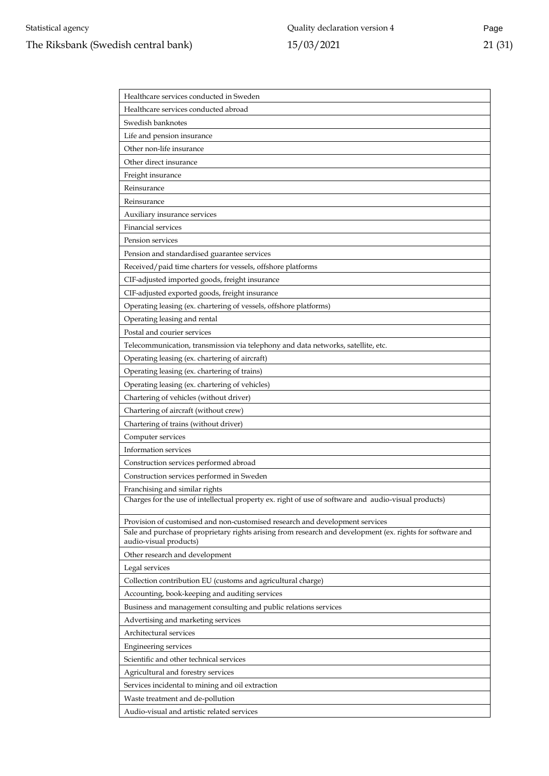| Healthcare services conducted in Sweden                                                                                              |
|--------------------------------------------------------------------------------------------------------------------------------------|
| Healthcare services conducted abroad                                                                                                 |
| Swedish banknotes                                                                                                                    |
| Life and pension insurance                                                                                                           |
| Other non-life insurance                                                                                                             |
| Other direct insurance                                                                                                               |
| Freight insurance                                                                                                                    |
| Reinsurance                                                                                                                          |
| Reinsurance                                                                                                                          |
| Auxiliary insurance services                                                                                                         |
| <b>Financial services</b>                                                                                                            |
| Pension services                                                                                                                     |
| Pension and standardised guarantee services                                                                                          |
| Received/paid time charters for vessels, offshore platforms                                                                          |
| CIF-adjusted imported goods, freight insurance                                                                                       |
| CIF-adjusted exported goods, freight insurance                                                                                       |
| Operating leasing (ex. chartering of vessels, offshore platforms)                                                                    |
| Operating leasing and rental                                                                                                         |
| Postal and courier services                                                                                                          |
| Telecommunication, transmission via telephony and data networks, satellite, etc.                                                     |
| Operating leasing (ex. chartering of aircraft)                                                                                       |
| Operating leasing (ex. chartering of trains)                                                                                         |
| Operating leasing (ex. chartering of vehicles)                                                                                       |
| Chartering of vehicles (without driver)                                                                                              |
| Chartering of aircraft (without crew)                                                                                                |
| Chartering of trains (without driver)                                                                                                |
| Computer services                                                                                                                    |
| Information services                                                                                                                 |
| Construction services performed abroad                                                                                               |
| Construction services performed in Sweden                                                                                            |
| Franchising and similar rights                                                                                                       |
| Charges for the use of intellectual property ex. right of use of software and audio-visual products)                                 |
| Provision of customised and non-customised research and development services                                                         |
| Sale and purchase of proprietary rights arising from research and development (ex. rights for software and<br>audio-visual products) |
| Other research and development                                                                                                       |
| Legal services                                                                                                                       |
| Collection contribution EU (customs and agricultural charge)                                                                         |
| Accounting, book-keeping and auditing services                                                                                       |
| Business and management consulting and public relations services                                                                     |
| Advertising and marketing services                                                                                                   |
| Architectural services                                                                                                               |
| <b>Engineering services</b>                                                                                                          |
| Scientific and other technical services                                                                                              |
| Agricultural and forestry services                                                                                                   |
| Services incidental to mining and oil extraction                                                                                     |
| Waste treatment and de-pollution                                                                                                     |
| Audio-visual and artistic related services                                                                                           |
|                                                                                                                                      |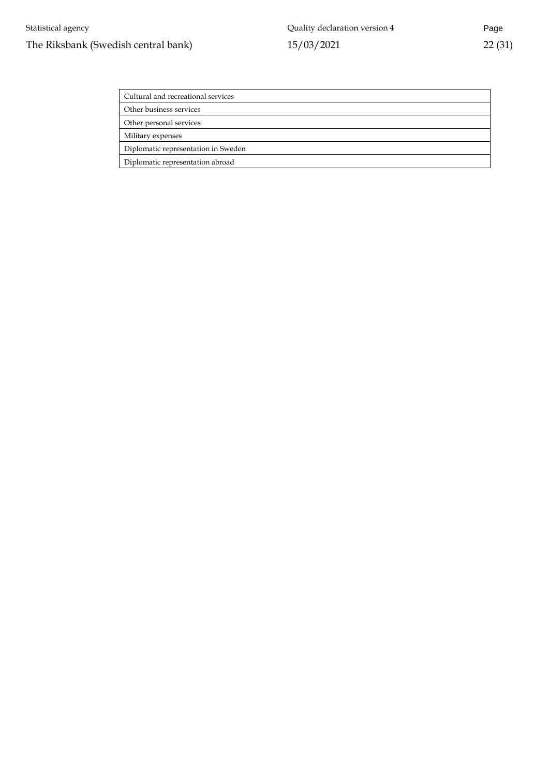| Cultural and recreational services  |
|-------------------------------------|
| Other business services             |
| Other personal services             |
| Military expenses                   |
| Diplomatic representation in Sweden |
| Diplomatic representation abroad    |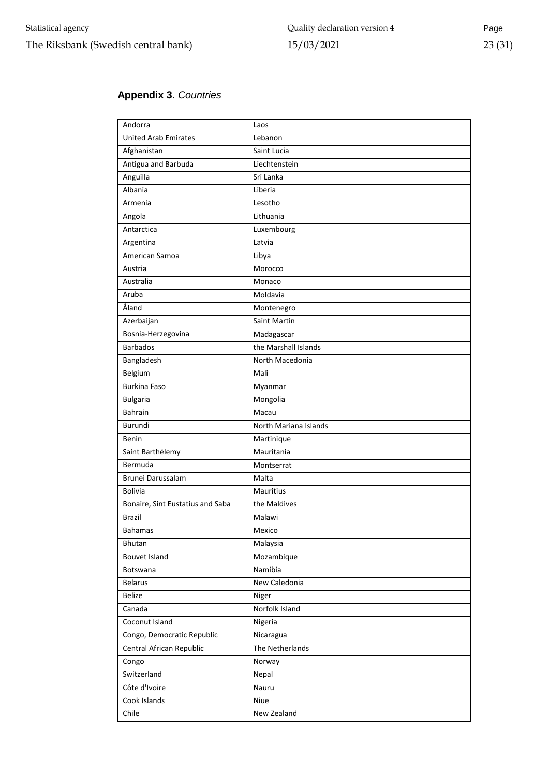# <span id="page-22-0"></span>**Appendix 3.** *Countries*

| Andorra                          | Laos                  |
|----------------------------------|-----------------------|
| <b>United Arab Emirates</b>      | Lebanon               |
| Afghanistan                      | Saint Lucia           |
| Antigua and Barbuda              | Liechtenstein         |
| Anguilla                         | Sri Lanka             |
| Albania                          | Liberia               |
| Armenia                          | Lesotho               |
| Angola                           | Lithuania             |
| Antarctica                       | Luxembourg            |
| Argentina                        | Latvia                |
| American Samoa                   | Libya                 |
| Austria                          | Morocco               |
| Australia                        | Monaco                |
| Aruba                            | Moldavia              |
| Åland                            | Montenegro            |
| Azerbaijan                       | Saint Martin          |
| Bosnia-Herzegovina               | Madagascar            |
| <b>Barbados</b>                  | the Marshall Islands  |
| Bangladesh                       | North Macedonia       |
| Belgium                          | Mali                  |
| <b>Burkina Faso</b>              | Myanmar               |
| <b>Bulgaria</b>                  | Mongolia              |
| <b>Bahrain</b>                   | Macau                 |
| Burundi                          | North Mariana Islands |
| Benin                            | Martinique            |
| Saint Barthélemy                 | Mauritania            |
| Bermuda                          | Montserrat            |
| Brunei Darussalam                | Malta                 |
| <b>Bolivia</b>                   | Mauritius             |
| Bonaire, Sint Eustatius and Saba | the Maldives          |
| Brazil                           | Malawi                |
| Bahamas                          | Mexico                |
| Bhutan                           | Malaysia              |
| Bouvet Island                    | Mozambique            |
| Botswana                         | Namibia               |
| <b>Belarus</b>                   | New Caledonia         |
| <b>Belize</b>                    | Niger                 |
| Canada                           | Norfolk Island        |
| Coconut Island                   | Nigeria               |
| Congo, Democratic Republic       | Nicaragua             |
| Central African Republic         | The Netherlands       |
|                                  |                       |
| Congo                            | Norway                |
| Switzerland                      | Nepal                 |
| Côte d'Ivoire                    | Nauru                 |
| Cook Islands                     | Niue                  |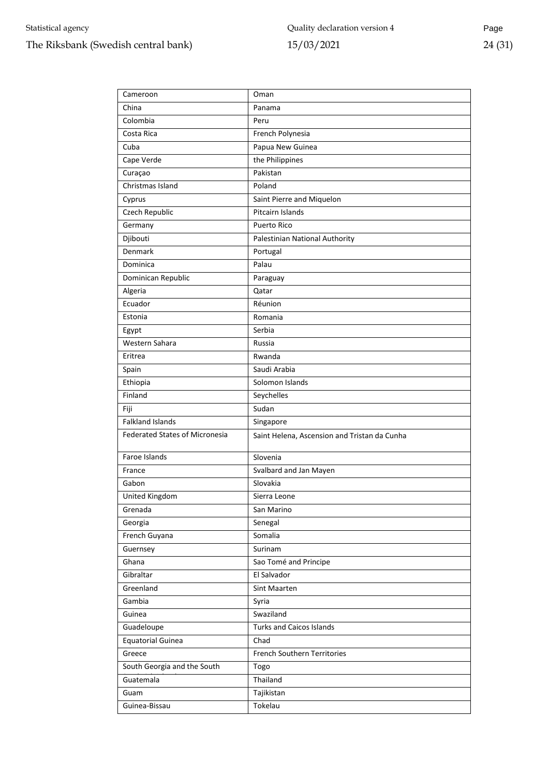| Cameroon                              | Oman                                         |
|---------------------------------------|----------------------------------------------|
| China                                 | Panama                                       |
| Colombia                              | Peru                                         |
| Costa Rica                            | French Polynesia                             |
| Cuba                                  | Papua New Guinea                             |
| Cape Verde                            | the Philippines                              |
| Curaçao                               | Pakistan                                     |
| Christmas Island                      | Poland                                       |
| Cyprus                                | Saint Pierre and Miquelon                    |
| Czech Republic                        | Pitcairn Islands                             |
| Germany                               | <b>Puerto Rico</b>                           |
| Djibouti                              | Palestinian National Authority               |
| Denmark                               | Portugal                                     |
| Dominica                              | Palau                                        |
| Dominican Republic                    | Paraguay                                     |
| Algeria                               | Qatar                                        |
| Ecuador                               | Réunion                                      |
| Estonia                               | Romania                                      |
| Egypt                                 | Serbia                                       |
| Western Sahara                        | Russia                                       |
| Eritrea                               | Rwanda                                       |
| Spain                                 | Saudi Arabia                                 |
| Ethiopia                              | Solomon Islands                              |
| Finland                               | Seychelles                                   |
| Fiji                                  | Sudan                                        |
| <b>Falkland Islands</b>               | Singapore                                    |
| <b>Federated States of Micronesia</b> | Saint Helena, Ascension and Tristan da Cunha |
| Faroe Islands                         | Slovenia                                     |
| France                                | Svalbard and Jan Mayen                       |
| Gabon                                 | Slovakia                                     |
| United Kingdom                        | Sierra Leone                                 |
| Grenada                               | San Marino                                   |
| Georgia                               | Senegal                                      |
| French Guyana                         | Somalia                                      |
| Guernsey                              | Surinam                                      |
| Ghana                                 | Sao Tomé and Principe                        |
| Gibraltar                             | El Salvador                                  |
| Greenland                             | Sint Maarten                                 |
| Gambia                                | Syria                                        |
| Guinea                                | Swaziland                                    |
| Guadeloupe                            | <b>Turks and Caicos Islands</b>              |
| <b>Equatorial Guinea</b>              | Chad                                         |
| Greece                                | French Southern Territories                  |
| South Georgia and the South           | Togo                                         |
| Guatemala                             | Thailand                                     |
| Guam                                  | Tajikistan                                   |
| Guinea-Bissau                         | Tokelau                                      |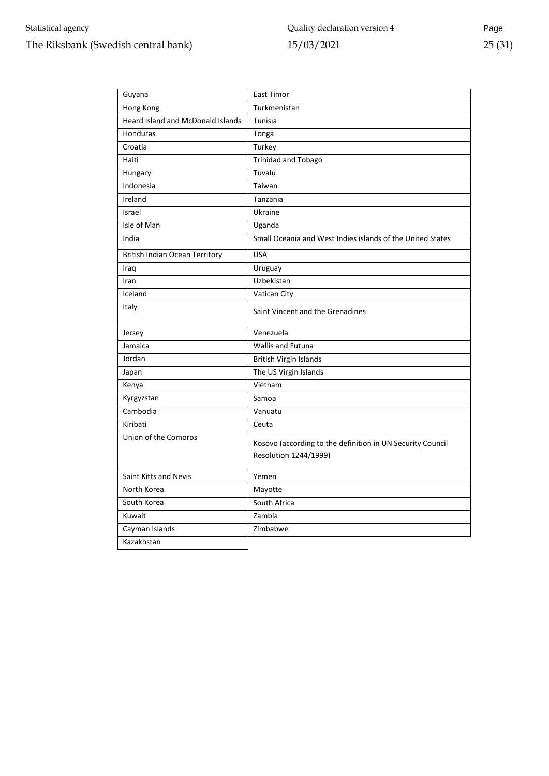| Guyana                                   | <b>East Timor</b>                                                                   |  |
|------------------------------------------|-------------------------------------------------------------------------------------|--|
| Hong Kong                                | Turkmenistan                                                                        |  |
| <b>Heard Island and McDonald Islands</b> | Tunisia                                                                             |  |
| Honduras                                 | Tonga                                                                               |  |
| Croatia                                  | Turkey                                                                              |  |
| Haiti                                    | <b>Trinidad and Tobago</b>                                                          |  |
| Hungary                                  | Tuvalu                                                                              |  |
| Indonesia                                | Taiwan                                                                              |  |
| Ireland                                  | Tanzania                                                                            |  |
| Israel                                   | Ukraine                                                                             |  |
| Isle of Man                              | Uganda                                                                              |  |
| India                                    | Small Oceania and West Indies islands of the United States                          |  |
| <b>British Indian Ocean Territory</b>    | <b>USA</b>                                                                          |  |
| Iraq                                     | Uruguay                                                                             |  |
| Iran                                     | Uzbekistan                                                                          |  |
| Iceland                                  | Vatican City                                                                        |  |
| Italy                                    | Saint Vincent and the Grenadines                                                    |  |
| Jersey                                   | Venezuela                                                                           |  |
| Jamaica                                  | <b>Wallis and Futuna</b>                                                            |  |
| Jordan                                   | British Virgin Islands                                                              |  |
| Japan                                    | The US Virgin Islands                                                               |  |
| Kenya                                    | Vietnam                                                                             |  |
| Kyrgyzstan                               | Samoa                                                                               |  |
| Cambodia                                 | Vanuatu                                                                             |  |
| Kiribati                                 | Ceuta                                                                               |  |
| Union of the Comoros                     | Kosovo (according to the definition in UN Security Council<br>Resolution 1244/1999) |  |
| Saint Kitts and Nevis                    | Yemen                                                                               |  |
| North Korea                              | Mayotte                                                                             |  |
| South Korea                              | South Africa                                                                        |  |
| Kuwait                                   | Zambia                                                                              |  |
| Cayman Islands                           | Zimbabwe                                                                            |  |
| Kazakhstan                               |                                                                                     |  |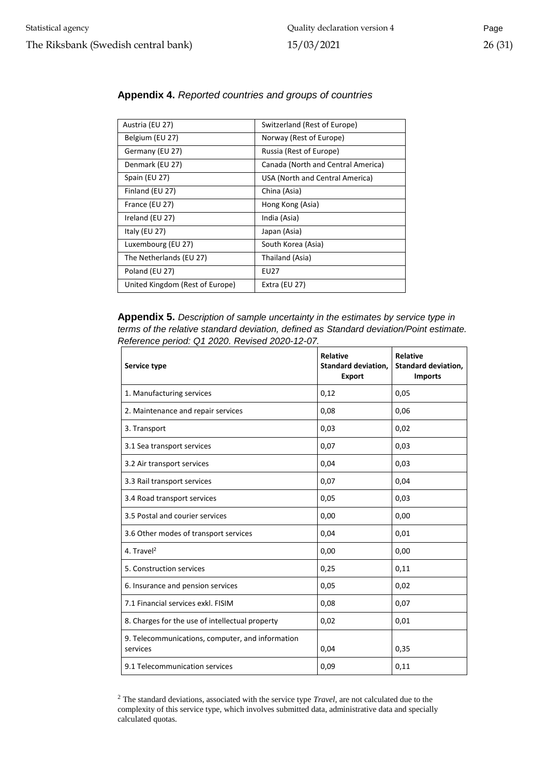| Austria (EU 27)                 | Switzerland (Rest of Europe)       |  |
|---------------------------------|------------------------------------|--|
|                                 |                                    |  |
| Belgium (EU 27)                 | Norway (Rest of Europe)            |  |
| Germany (EU 27)                 | Russia (Rest of Europe)            |  |
| Denmark (EU 27)                 | Canada (North and Central America) |  |
| Spain (EU 27)                   | USA (North and Central America)    |  |
| Finland (EU 27)                 | China (Asia)                       |  |
| France (EU 27)                  | Hong Kong (Asia)                   |  |
| Ireland (EU 27)                 | India (Asia)                       |  |
| Italy (EU 27)                   | Japan (Asia)                       |  |
| Luxembourg (EU 27)              | South Korea (Asia)                 |  |
| The Netherlands (EU 27)         | Thailand (Asia)                    |  |
| Poland (EU 27)                  | EU27                               |  |
| United Kingdom (Rest of Europe) | Extra (EU 27)                      |  |

#### <span id="page-25-0"></span>**Appendix 4.** *Reported countries and groups of countries*

<span id="page-25-1"></span>**Appendix 5.** *Description of sample uncertainty in the estimates by service type in terms of the relative standard deviation, defined as Standard deviation/Point estimate. Reference period: Q1 2020. Revised 2020-12-07.*

| Service type                                                 | <b>Relative</b><br><b>Standard deviation,</b><br><b>Export</b> | <b>Relative</b><br><b>Standard deviation,</b><br><b>Imports</b> |
|--------------------------------------------------------------|----------------------------------------------------------------|-----------------------------------------------------------------|
| 1. Manufacturing services                                    | 0,12                                                           | 0,05                                                            |
| 2. Maintenance and repair services                           | 0,08                                                           | 0,06                                                            |
| 3. Transport                                                 | 0,03                                                           | 0,02                                                            |
| 3.1 Sea transport services                                   | 0,07                                                           | 0,03                                                            |
| 3.2 Air transport services                                   | 0,04                                                           | 0,03                                                            |
| 3.3 Rail transport services                                  | 0,07                                                           | 0,04                                                            |
| 3.4 Road transport services                                  | 0,05                                                           | 0,03                                                            |
| 3.5 Postal and courier services                              | 0,00                                                           | 0,00                                                            |
| 3.6 Other modes of transport services                        | 0,04                                                           | 0,01                                                            |
| 4. Travel <sup>2</sup>                                       | 0,00                                                           | 0,00                                                            |
| 5. Construction services                                     | 0,25                                                           | 0,11                                                            |
| 6. Insurance and pension services                            | 0,05                                                           | 0,02                                                            |
| 7.1 Financial services exkl. FISIM                           | 0,08                                                           | 0,07                                                            |
| 8. Charges for the use of intellectual property              | 0,02                                                           | 0,01                                                            |
| 9. Telecommunications, computer, and information<br>services | 0,04                                                           | 0,35                                                            |
| 9.1 Telecommunication services                               | 0,09                                                           | 0,11                                                            |

<sup>2</sup> The standard deviations, associated with the service type *Travel,* are not calculated due to the complexity of this service type, which involves submitted data, administrative data and specially calculated quotas.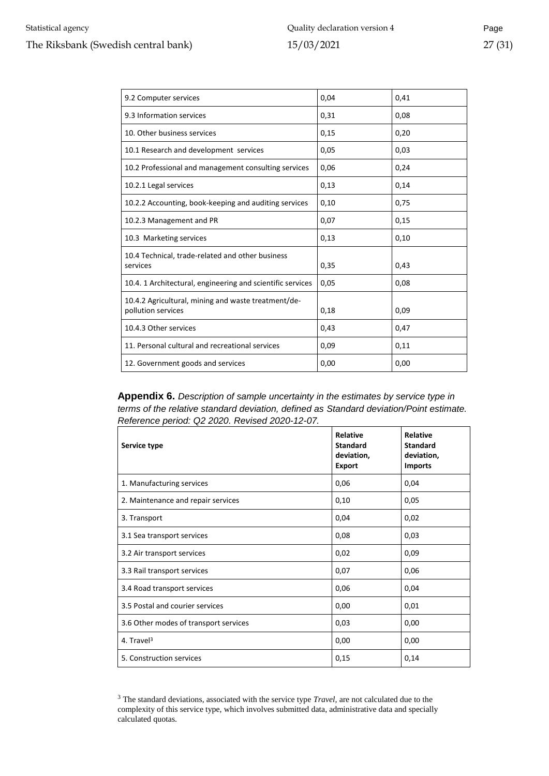| 9.2 Computer services                                                     | 0,04 | 0,41 |
|---------------------------------------------------------------------------|------|------|
| 9.3 Information services                                                  | 0,31 | 0,08 |
| 10. Other business services                                               | 0,15 | 0,20 |
| 10.1 Research and development services                                    | 0,05 | 0,03 |
| 10.2 Professional and management consulting services                      | 0,06 | 0,24 |
| 10.2.1 Legal services                                                     | 0,13 | 0,14 |
| 10.2.2 Accounting, book-keeping and auditing services                     | 0,10 | 0,75 |
| 10.2.3 Management and PR                                                  | 0,07 | 0,15 |
| 10.3 Marketing services                                                   | 0,13 | 0,10 |
| 10.4 Technical, trade-related and other business<br>services              | 0,35 | 0,43 |
| 10.4. 1 Architectural, engineering and scientific services                | 0,05 | 0,08 |
| 10.4.2 Agricultural, mining and waste treatment/de-<br>pollution services | 0,18 | 0,09 |
| 10.4.3 Other services                                                     | 0,43 | 0,47 |
| 11. Personal cultural and recreational services                           | 0,09 | 0,11 |
| 12. Government goods and services                                         | 0,00 | 0,00 |

<span id="page-26-0"></span>**Appendix 6.** *Description of sample uncertainty in the estimates by service type in terms of the relative standard deviation, defined as Standard deviation/Point estimate. Reference period: Q2 2020. Revised 2020-12-07.*

| Service type                          | Relative<br><b>Standard</b><br>deviation,<br><b>Export</b> | <b>Relative</b><br><b>Standard</b><br>deviation,<br><b>Imports</b> |
|---------------------------------------|------------------------------------------------------------|--------------------------------------------------------------------|
| 1. Manufacturing services             | 0,06                                                       | 0,04                                                               |
| 2. Maintenance and repair services    | 0,10                                                       | 0,05                                                               |
| 3. Transport                          | 0,04                                                       | 0,02                                                               |
| 3.1 Sea transport services            | 0,08                                                       | 0,03                                                               |
| 3.2 Air transport services            | 0,02                                                       | 0,09                                                               |
| 3.3 Rail transport services           | 0,07                                                       | 0,06                                                               |
| 3.4 Road transport services           | 0,06                                                       | 0,04                                                               |
| 3.5 Postal and courier services       | 0,00                                                       | 0,01                                                               |
| 3.6 Other modes of transport services | 0,03                                                       | 0,00                                                               |
| 4. Travel <sup>3</sup>                | 0,00                                                       | 0,00                                                               |
| 5. Construction services              | 0,15                                                       | 0,14                                                               |

<sup>3</sup> The standard deviations, associated with the service type *Travel,* are not calculated due to the complexity of this service type, which involves submitted data, administrative data and specially calculated quotas.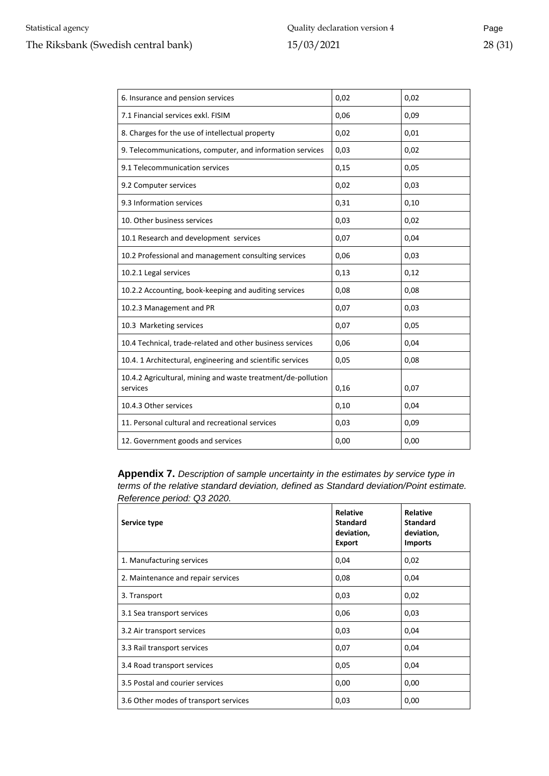| 6. Insurance and pension services                                        | 0,02 | 0,02 |
|--------------------------------------------------------------------------|------|------|
| 7.1 Financial services exkl. FISIM                                       | 0,06 | 0,09 |
| 8. Charges for the use of intellectual property                          | 0,02 | 0,01 |
| 9. Telecommunications, computer, and information services                | 0,03 | 0,02 |
| 9.1 Telecommunication services                                           | 0,15 | 0,05 |
| 9.2 Computer services                                                    | 0,02 | 0,03 |
| 9.3 Information services                                                 | 0,31 | 0,10 |
| 10. Other business services                                              | 0,03 | 0,02 |
| 10.1 Research and development services                                   | 0,07 | 0,04 |
| 10.2 Professional and management consulting services                     | 0,06 | 0,03 |
| 10.2.1 Legal services                                                    | 0,13 | 0,12 |
| 10.2.2 Accounting, book-keeping and auditing services                    | 0,08 | 0,08 |
| 10.2.3 Management and PR                                                 | 0,07 | 0,03 |
| 10.3 Marketing services                                                  | 0,07 | 0,05 |
| 10.4 Technical, trade-related and other business services                | 0,06 | 0,04 |
| 10.4. 1 Architectural, engineering and scientific services               | 0,05 | 0,08 |
| 10.4.2 Agricultural, mining and waste treatment/de-pollution<br>services | 0,16 | 0,07 |
| 10.4.3 Other services                                                    | 0,10 | 0,04 |
| 11. Personal cultural and recreational services                          | 0,03 | 0,09 |
| 12. Government goods and services                                        | 0,00 | 0,00 |

<span id="page-27-0"></span>**Appendix 7.** *Description of sample uncertainty in the estimates by service type in terms of the relative standard deviation, defined as Standard deviation/Point estimate. Reference period: Q3 2020.*

| Service type                          | <b>Relative</b><br><b>Standard</b><br>deviation,<br><b>Export</b> | Relative<br><b>Standard</b><br>deviation,<br><b>Imports</b> |
|---------------------------------------|-------------------------------------------------------------------|-------------------------------------------------------------|
| 1. Manufacturing services             | 0,04                                                              | 0,02                                                        |
| 2. Maintenance and repair services    | 0,08                                                              | 0,04                                                        |
| 3. Transport                          | 0,03                                                              | 0,02                                                        |
| 3.1 Sea transport services            | 0,06                                                              | 0,03                                                        |
| 3.2 Air transport services            | 0,03                                                              | 0,04                                                        |
| 3.3 Rail transport services           | 0,07                                                              | 0,04                                                        |
| 3.4 Road transport services           | 0,05                                                              | 0,04                                                        |
| 3.5 Postal and courier services       | 0,00                                                              | 0,00                                                        |
| 3.6 Other modes of transport services | 0,03                                                              | 0,00                                                        |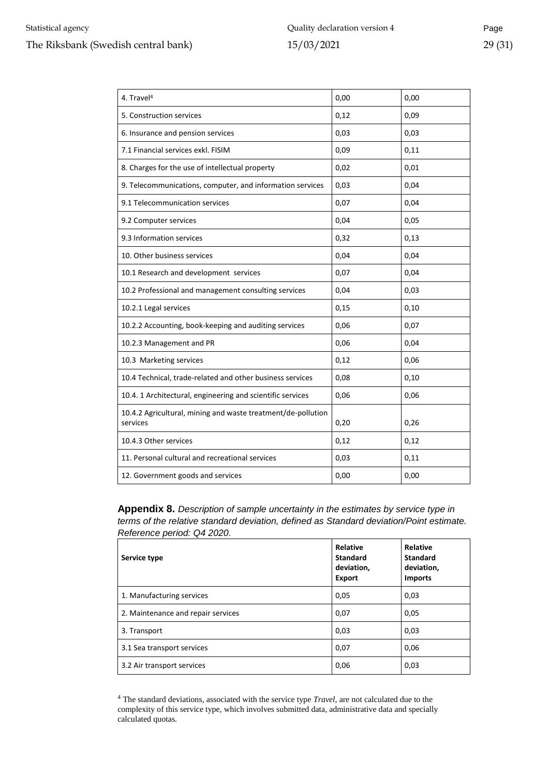| 4. Travel <sup>4</sup>                                                   | 0,00 | 0,00 |
|--------------------------------------------------------------------------|------|------|
| 5. Construction services                                                 | 0,12 | 0,09 |
| 6. Insurance and pension services                                        | 0,03 | 0,03 |
| 7.1 Financial services exkl. FISIM                                       | 0,09 | 0,11 |
| 8. Charges for the use of intellectual property                          | 0,02 | 0,01 |
| 9. Telecommunications, computer, and information services                | 0,03 | 0,04 |
| 9.1 Telecommunication services                                           | 0,07 | 0,04 |
| 9.2 Computer services                                                    | 0,04 | 0,05 |
| 9.3 Information services                                                 | 0,32 | 0,13 |
| 10. Other business services                                              | 0,04 | 0,04 |
| 10.1 Research and development services                                   | 0,07 | 0,04 |
| 10.2 Professional and management consulting services                     | 0,04 | 0,03 |
| 10.2.1 Legal services                                                    | 0,15 | 0,10 |
| 10.2.2 Accounting, book-keeping and auditing services                    | 0,06 | 0,07 |
| 10.2.3 Management and PR                                                 | 0,06 | 0,04 |
| 10.3 Marketing services                                                  | 0,12 | 0,06 |
| 10.4 Technical, trade-related and other business services                | 0,08 | 0,10 |
| 10.4. 1 Architectural, engineering and scientific services               | 0,06 | 0,06 |
| 10.4.2 Agricultural, mining and waste treatment/de-pollution<br>services | 0,20 | 0,26 |
| 10.4.3 Other services                                                    | 0,12 | 0,12 |
| 11. Personal cultural and recreational services                          | 0,03 | 0,11 |
| 12. Government goods and services                                        | 0,00 | 0,00 |

<span id="page-28-0"></span>**Appendix 8.** *Description of sample uncertainty in the estimates by service type in terms of the relative standard deviation, defined as Standard deviation/Point estimate. Reference period: Q4 2020.*

| Service type                       | Relative<br><b>Standard</b><br>deviation,<br><b>Export</b> | Relative<br><b>Standard</b><br>deviation,<br><b>Imports</b> |
|------------------------------------|------------------------------------------------------------|-------------------------------------------------------------|
| 1. Manufacturing services          | 0,05                                                       | 0,03                                                        |
| 2. Maintenance and repair services | 0,07                                                       | 0,05                                                        |
| 3. Transport                       | 0,03                                                       | 0,03                                                        |
| 3.1 Sea transport services         | 0,07                                                       | 0,06                                                        |
| 3.2 Air transport services         | 0,06                                                       | 0,03                                                        |

<sup>4</sup> The standard deviations, associated with the service type *Travel,* are not calculated due to the complexity of this service type, which involves submitted data, administrative data and specially calculated quotas.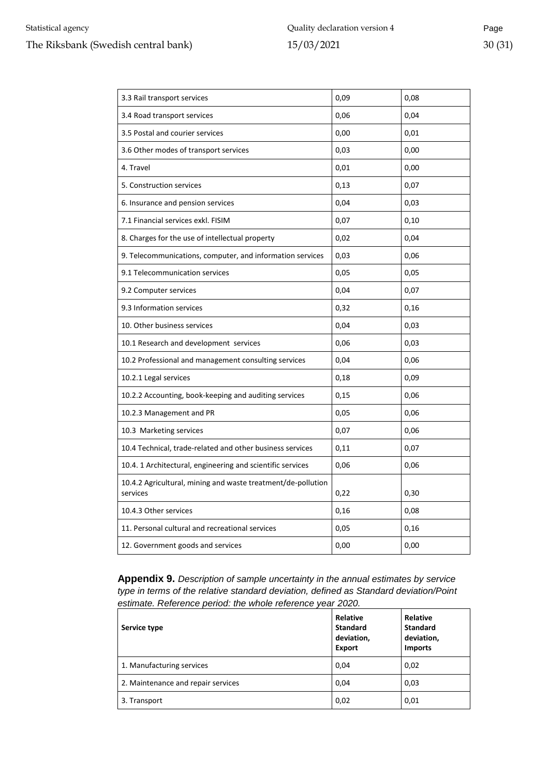| 3.3 Rail transport services                                              | 0,09 | 0,08 |
|--------------------------------------------------------------------------|------|------|
| 3.4 Road transport services                                              | 0,06 | 0,04 |
| 3.5 Postal and courier services                                          | 0,00 | 0,01 |
| 3.6 Other modes of transport services                                    | 0,03 | 0,00 |
| 4. Travel                                                                | 0,01 | 0,00 |
| 5. Construction services                                                 | 0,13 | 0,07 |
| 6. Insurance and pension services                                        | 0,04 | 0,03 |
| 7.1 Financial services exkl. FISIM                                       | 0,07 | 0,10 |
| 8. Charges for the use of intellectual property                          | 0,02 | 0,04 |
| 9. Telecommunications, computer, and information services                | 0,03 | 0,06 |
| 9.1 Telecommunication services                                           | 0,05 | 0,05 |
| 9.2 Computer services                                                    | 0,04 | 0,07 |
| 9.3 Information services                                                 | 0,32 | 0,16 |
| 10. Other business services                                              | 0,04 | 0,03 |
| 10.1 Research and development services                                   | 0,06 | 0,03 |
| 10.2 Professional and management consulting services                     | 0,04 | 0,06 |
| 10.2.1 Legal services                                                    | 0,18 | 0,09 |
| 10.2.2 Accounting, book-keeping and auditing services                    | 0,15 | 0,06 |
| 10.2.3 Management and PR                                                 | 0,05 | 0,06 |
| 10.3 Marketing services                                                  | 0,07 | 0,06 |
| 10.4 Technical, trade-related and other business services                | 0,11 | 0,07 |
| 10.4. 1 Architectural, engineering and scientific services               | 0,06 | 0,06 |
| 10.4.2 Agricultural, mining and waste treatment/de-pollution<br>services | 0,22 | 0,30 |
| 10.4.3 Other services                                                    | 0,16 | 0,08 |
| 11. Personal cultural and recreational services                          | 0,05 | 0,16 |
| 12. Government goods and services                                        | 0,00 | 0,00 |

<span id="page-29-0"></span>**Appendix 9.** *Description of sample uncertainty in the annual estimates by service type in terms of the relative standard deviation, defined as Standard deviation/Point estimate. Reference period: the whole reference year 2020.*

| Service type                       | <b>Relative</b><br><b>Standard</b><br>deviation,<br><b>Export</b> | Relative<br><b>Standard</b><br>deviation,<br><b>Imports</b> |
|------------------------------------|-------------------------------------------------------------------|-------------------------------------------------------------|
| 1. Manufacturing services          | 0,04                                                              | 0,02                                                        |
| 2. Maintenance and repair services | 0,04                                                              | 0,03                                                        |
| 3. Transport                       | 0,02                                                              | 0,01                                                        |